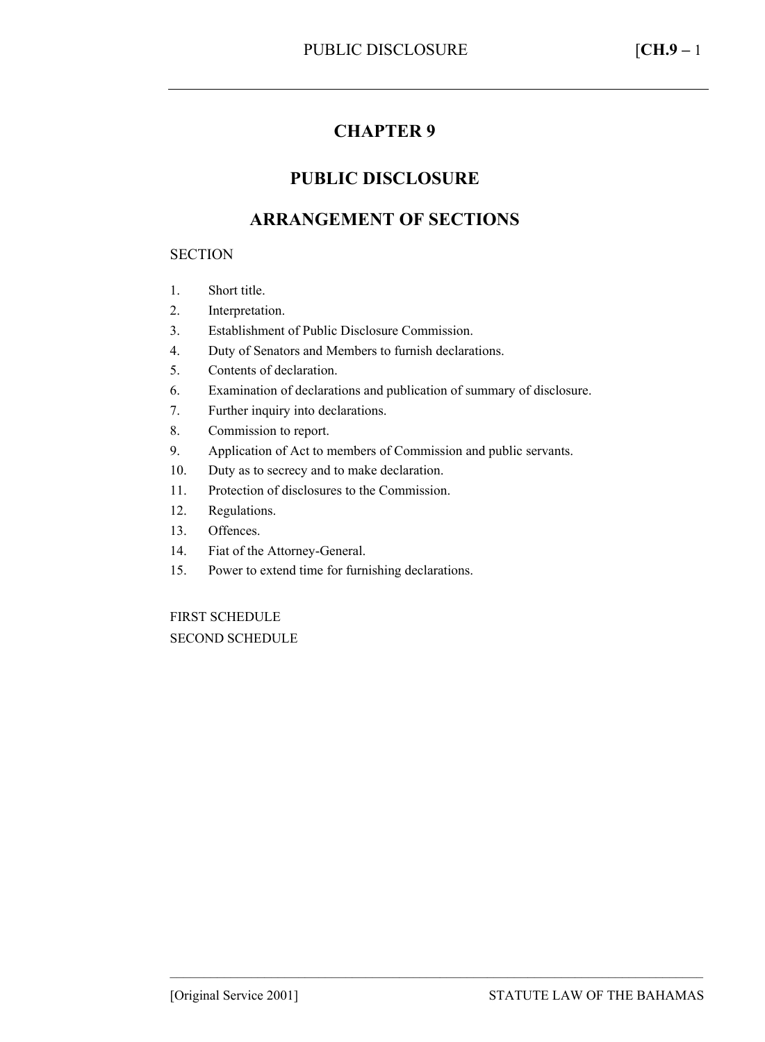# **CHAPTER 9**

## **PUBLIC DISCLOSURE**

## **ARRANGEMENT OF SECTIONS**

#### **SECTION**

- 1. Short title.
- 2. Interpretation.
- 3. Establishment of Public Disclosure Commission.
- 4. Duty of Senators and Members to furnish declarations.
- 5. Contents of declaration.
- 6. Examination of declarations and publication of summary of disclosure.
- 7. Further inquiry into declarations.
- 8. Commission to report.
- 9. Application of Act to members of Commission and public servants.
- 10. Duty as to secrecy and to make declaration.
- 11. Protection of disclosures to the Commission.
- 12. Regulations.
- 13. Offences.
- 14. Fiat of the Attorney-General.
- 15. Power to extend time for furnishing declarations.

FIRST SCHEDULE SECOND SCHEDULE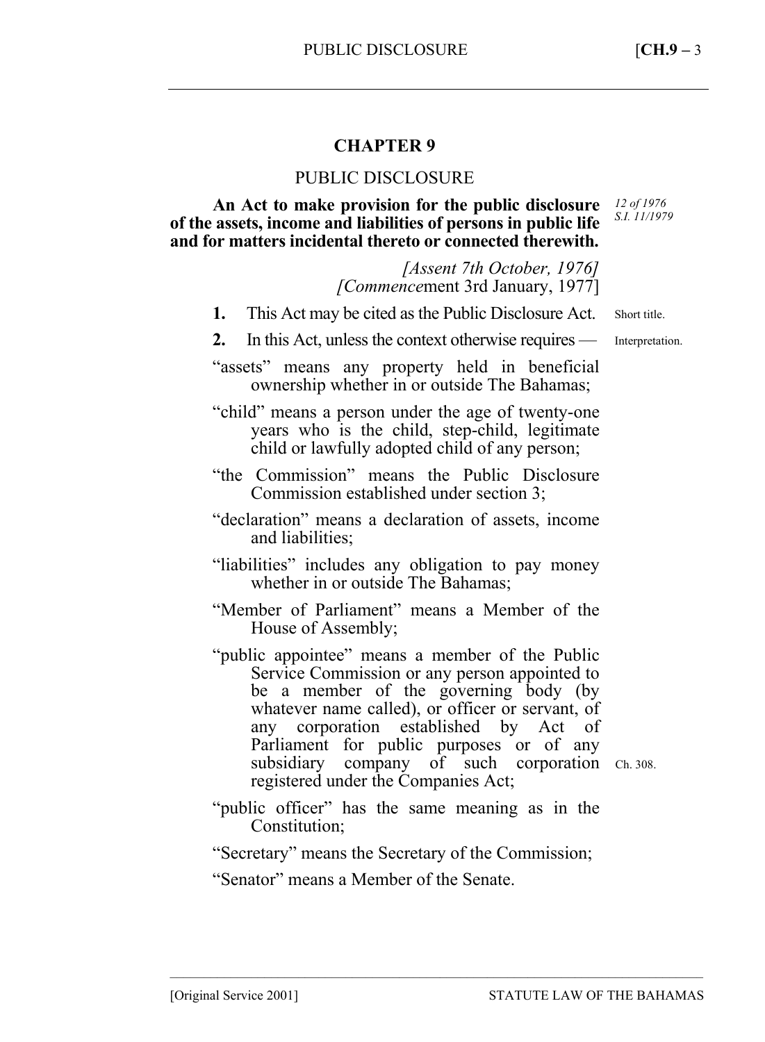## **CHAPTER 9**

### PUBLIC DISCLOSURE

**An Act to make provision for the public disclosure of the assets, income and liabilities of persons in public life and for matters incidental thereto or connected therewith.**  *12 of 1976 S.I. 11/1979* 

> *[Assent 7th October, 1976] [Commence*ment 3rd January, 1977]

- **1.** This Act may be cited as the Public Disclosure Act. Short title.
- **2.** In this Act, unless the context otherwise requires Interpretation.

"assets" means any property held in beneficial ownership whether in or outside The Bahamas;

"child" means a person under the age of twenty-one years who is the child, step-child, legitimate child or lawfully adopted child of any person;

"the Commission" means the Public Disclosure Commission established under section 3;

"declaration" means a declaration of assets, income and liabilities;

"liabilities" includes any obligation to pay money whether in or outside The Bahamas;

"Member of Parliament" means a Member of the House of Assembly;

"public appointee" means a member of the Public Service Commission or any person appointed to be a member of the governing body (by whatever name called), or officer or servant, of any corporation established by Act of Parliament for public purposes or of any subsidiary company of such corporation Ch. 308. registered under the Companies Act;

- "public officer" has the same meaning as in the Constitution;
- "Secretary" means the Secretary of the Commission;

–––––––––––––––––––––––––––––––––––––––––––––––––––––––––––––––––––––––––––––––

"Senator" means a Member of the Senate.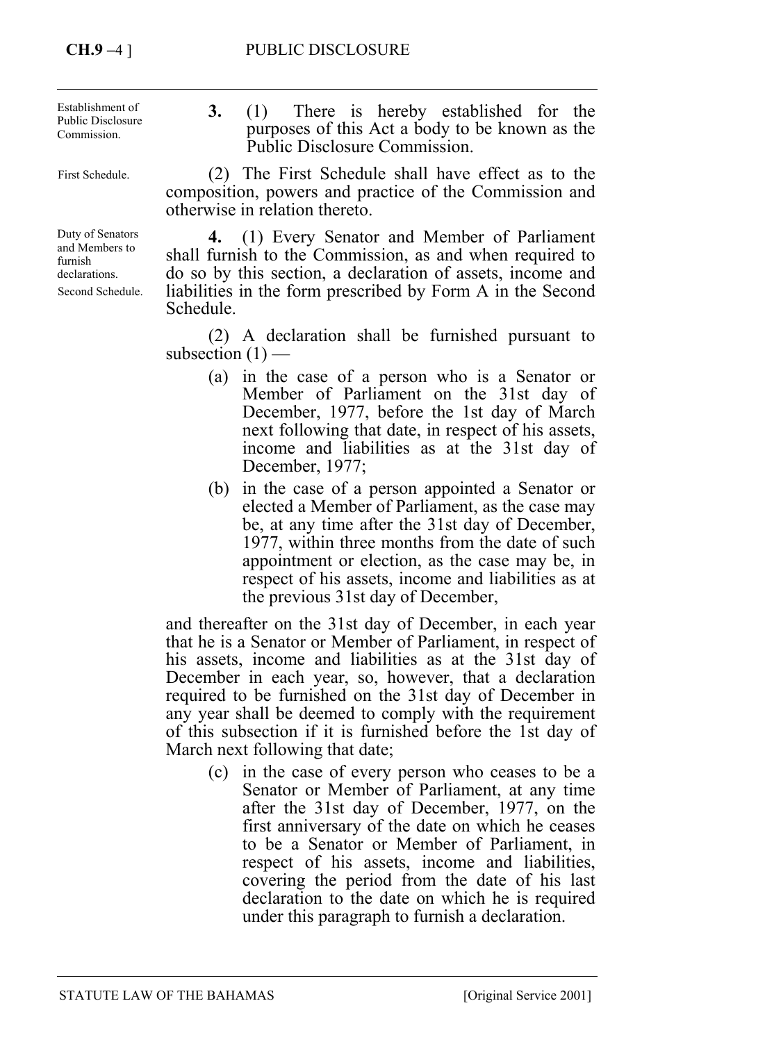**3.** (1) There is hereby established for the purposes of this Act a body to be known as the Public Disclosure Commission. (2) The First Schedule shall have effect as to the composition, powers and practice of the Commission and otherwise in relation thereto. **4.** (1) Every Senator and Member of Parliament shall furnish to the Commission, as and when required to do so by this section, a declaration of assets, income and Establishment of Public Disclosure Commission. First Schedule. Duty of Senators and Members to furnish declarations.

> (2) A declaration shall be furnished pursuant to subsection  $(1)$  —

> liabilities in the form prescribed by Form A in the Second

- (a) in the case of a person who is a Senator or Member of Parliament on the 31st day of December, 1977, before the 1st day of March next following that date, in respect of his assets, income and liabilities as at the 31st day of December, 1977;
- (b) in the case of a person appointed a Senator or elected a Member of Parliament, as the case may be, at any time after the 31st day of December, 1977, within three months from the date of such appointment or election, as the case may be, in respect of his assets, income and liabilities as at the previous 31st day of December,

and thereafter on the 31st day of December, in each year that he is a Senator or Member of Parliament, in respect of his assets, income and liabilities as at the 31st day of December in each year, so, however, that a declaration required to be furnished on the 31st day of December in any year shall be deemed to comply with the requirement of this subsection if it is furnished before the 1st day of March next following that date;

(c) in the case of every person who ceases to be a Senator or Member of Parliament, at any time after the 31st day of December, 1977, on the first anniversary of the date on which he ceases to be a Senator or Member of Parliament, in respect of his assets, income and liabilities, covering the period from the date of his last declaration to the date on which he is required under this paragraph to furnish a declaration.

Second Schedule.

Schedule.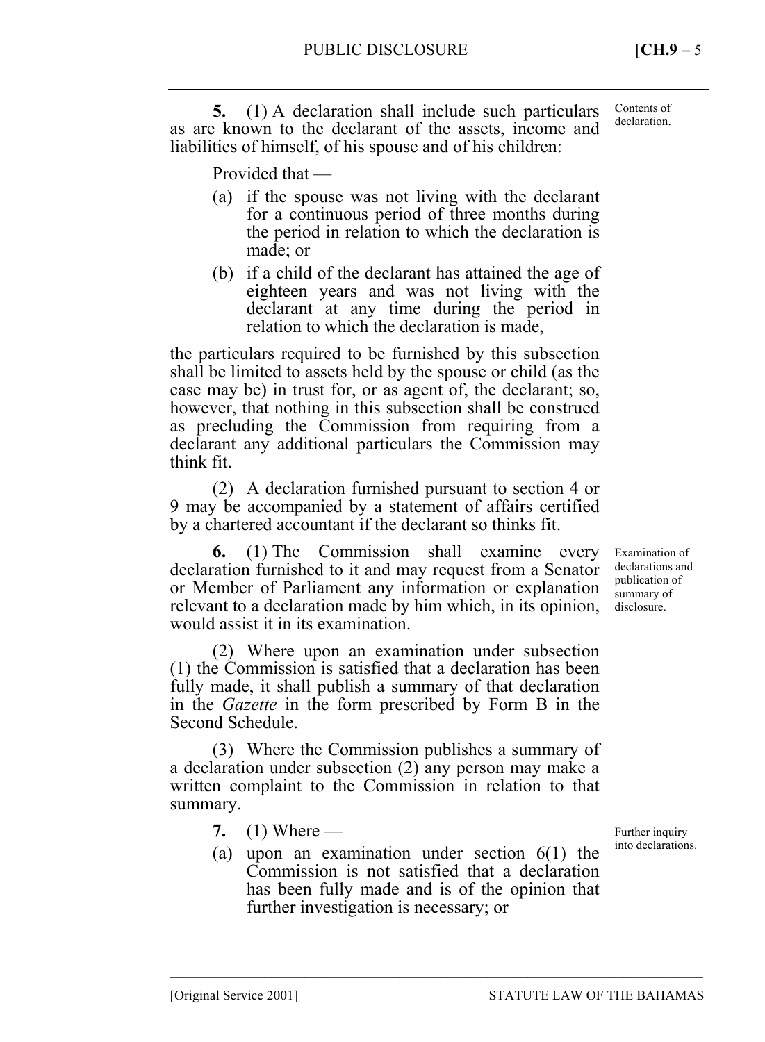**5.** (1) A declaration shall include such particulars as are known to the declarant of the assets, income and liabilities of himself, of his spouse and of his children: Contents of declaration.

Provided that —

- (a) if the spouse was not living with the declarant for a continuous period of three months during the period in relation to which the declaration is made; or
- (b) if a child of the declarant has attained the age of eighteen years and was not living with the declarant at any time during the period in relation to which the declaration is made,

the particulars required to be furnished by this subsection shall be limited to assets held by the spouse or child (as the case may be) in trust for, or as agent of, the declarant; so, however, that nothing in this subsection shall be construed as precluding the Commission from requiring from a declarant any additional particulars the Commission may think fit.

(2) A declaration furnished pursuant to section 4 or 9 may be accompanied by a statement of affairs certified by a chartered accountant if the declarant so thinks fit.

**6.** (1) The Commission shall examine every declaration furnished to it and may request from a Senator or Member of Parliament any information or explanation relevant to a declaration made by him which, in its opinion, would assist it in its examination.

(2) Where upon an examination under subsection (1) the Commission is satisfied that a declaration has been fully made, it shall publish a summary of that declaration in the *Gazette* in the form prescribed by Form B in the Second Schedule.

(3) Where the Commission publishes a summary of a declaration under subsection (2) any person may make a written complaint to the Commission in relation to that summary.

- **7.** (1) Where —
- (a) upon an examination under section 6(1) the Commission is not satisfied that a declaration has been fully made and is of the opinion that further investigation is necessary; or

–––––––––––––––––––––––––––––––––––––––––––––––––––––––––––––––––––––––––––––––

Further inquiry into declarations.

Examination of declarations and publication of summary of disclosure.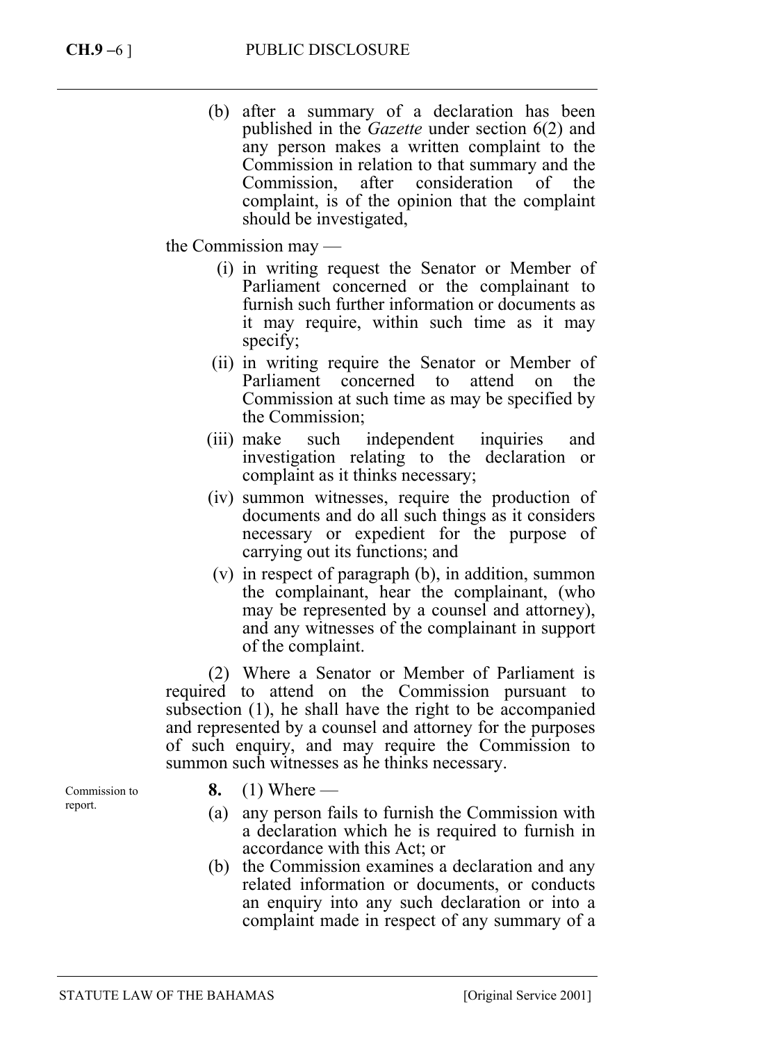(b) after a summary of a declaration has been published in the *Gazette* under section 6(2) and any person makes a written complaint to the Commission in relation to that summary and the Commission, after consideration of the complaint, is of the opinion that the complaint should be investigated,

the Commission may —

- (i) in writing request the Senator or Member of Parliament concerned or the complainant to furnish such further information or documents as it may require, within such time as it may specify;
- (ii) in writing require the Senator or Member of Parliament concerned to attend on the Commission at such time as may be specified by the Commission;
- (iii) make such independent inquiries and investigation relating to the declaration or complaint as it thinks necessary;
- (iv) summon witnesses, require the production of documents and do all such things as it considers necessary or expedient for the purpose of carrying out its functions; and
- (v) in respect of paragraph (b), in addition, summon the complainant, hear the complainant, (who may be represented by a counsel and attorney), and any witnesses of the complainant in support of the complaint.

(2) Where a Senator or Member of Parliament is required to attend on the Commission pursuant to subsection (1), he shall have the right to be accompanied and represented by a counsel and attorney for the purposes of such enquiry, and may require the Commission to summon such witnesses as he thinks necessary.

Commission to report.

- **8.** (1) Where —
- (a) any person fails to furnish the Commission with a declaration which he is required to furnish in accordance with this Act; or
- (b) the Commission examines a declaration and any related information or documents, or conducts an enquiry into any such declaration or into a complaint made in respect of any summary of a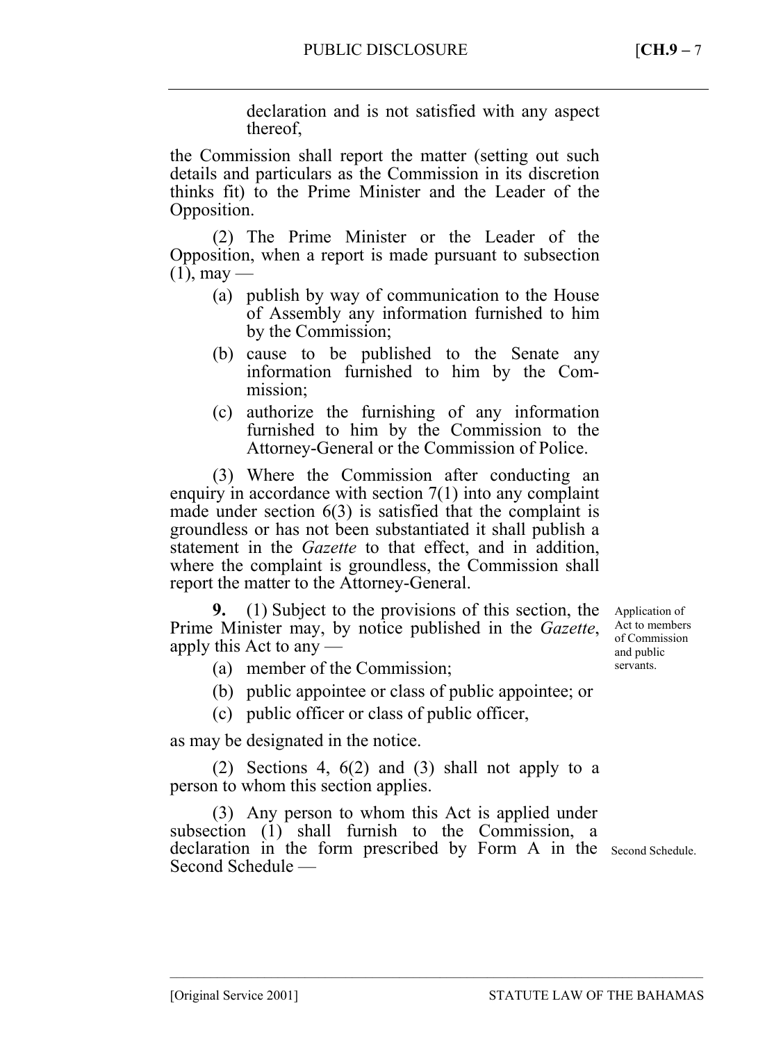declaration and is not satisfied with any aspect thereof,

the Commission shall report the matter (setting out such details and particulars as the Commission in its discretion thinks fit) to the Prime Minister and the Leader of the Opposition.

(2) The Prime Minister or the Leader of the Opposition, when a report is made pursuant to subsection  $(1)$ , may —

- (a) publish by way of communication to the House of Assembly any information furnished to him by the Commission;
- (b) cause to be published to the Senate any information furnished to him by the Commission;
- (c) authorize the furnishing of any information furnished to him by the Commission to the Attorney-General or the Commission of Police.

(3) Where the Commission after conducting an enquiry in accordance with section 7(1) into any complaint made under section 6(3) is satisfied that the complaint is groundless or has not been substantiated it shall publish a statement in the *Gazette* to that effect, and in addition, where the complaint is groundless, the Commission shall report the matter to the Attorney-General.

**9.** (1) Subject to the provisions of this section, the Prime Minister may, by notice published in the *Gazette*, apply this Act to any —

Application of Act to members of Commission and public servants.

- (a) member of the Commission;
- (b) public appointee or class of public appointee; or
- (c) public officer or class of public officer,

as may be designated in the notice.

(2) Sections 4, 6(2) and (3) shall not apply to a person to whom this section applies.

(3) Any person to whom this Act is applied under subsection (1) shall furnish to the Commission, a declaration in the form prescribed by Form A in the Second Schedule. Second Schedule —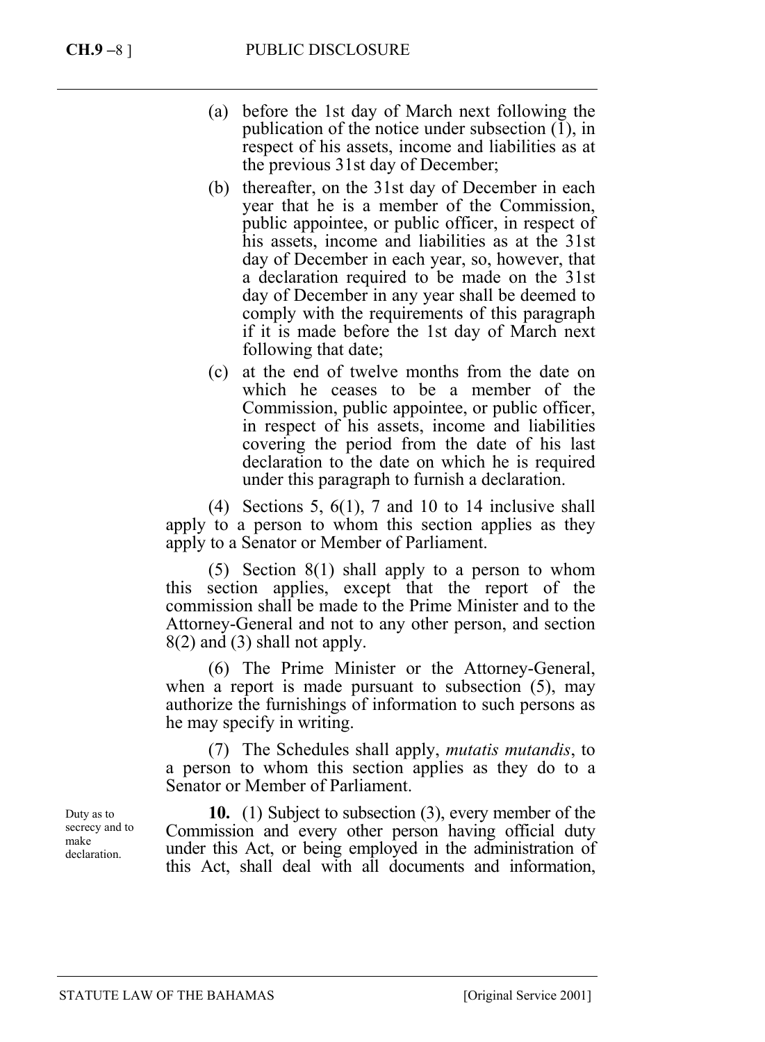- (a) before the 1st day of March next following the publication of the notice under subsection (1), in respect of his assets, income and liabilities as at the previous 31st day of December;
- (b) thereafter, on the 31st day of December in each year that he is a member of the Commission, public appointee, or public officer, in respect of his assets, income and liabilities as at the 31st day of December in each year, so, however, that a declaration required to be made on the 31st day of December in any year shall be deemed to comply with the requirements of this paragraph if it is made before the 1st day of March next following that date;
- (c) at the end of twelve months from the date on which he ceases to be a member of the Commission, public appointee, or public officer, in respect of his assets, income and liabilities covering the period from the date of his last declaration to the date on which he is required under this paragraph to furnish a declaration.

(4) Sections 5,  $6(1)$ , 7 and 10 to 14 inclusive shall apply to a person to whom this section applies as they apply to a Senator or Member of Parliament.

(5) Section 8(1) shall apply to a person to whom this section applies, except that the report of the commission shall be made to the Prime Minister and to the Attorney-General and not to any other person, and section 8(2) and (3) shall not apply.

(6) The Prime Minister or the Attorney-General, when a report is made pursuant to subsection  $(5)$ , may authorize the furnishings of information to such persons as he may specify in writing.

(7) The Schedules shall apply, *mutatis mutandis*, to a person to whom this section applies as they do to a Senator or Member of Parliament.

**10.** (1) Subject to subsection (3), every member of the Commission and every other person having official duty under this Act, or being employed in the administration of this Act, shall deal with all documents and information,

Duty as to secrecy and to make declaration.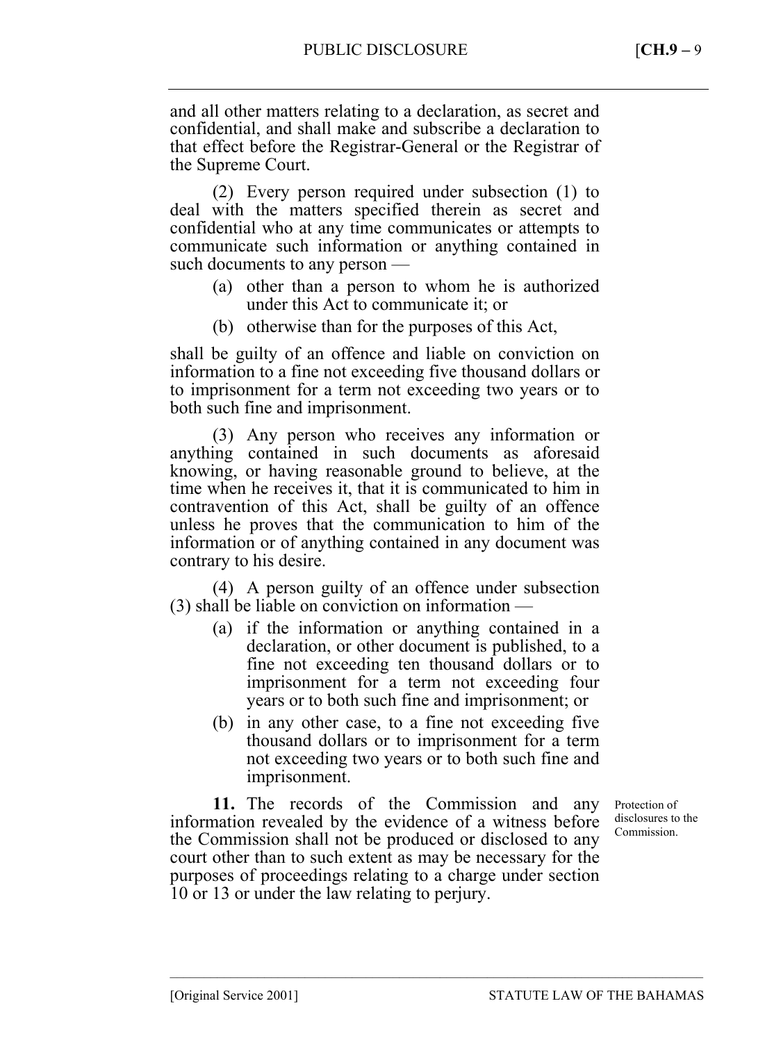and all other matters relating to a declaration, as secret and confidential, and shall make and subscribe a declaration to that effect before the Registrar-General or the Registrar of the Supreme Court.

(2) Every person required under subsection (1) to deal with the matters specified therein as secret and confidential who at any time communicates or attempts to communicate such information or anything contained in such documents to any person —

- (a) other than a person to whom he is authorized under this Act to communicate it; or
- (b) otherwise than for the purposes of this Act,

shall be guilty of an offence and liable on conviction on information to a fine not exceeding five thousand dollars or to imprisonment for a term not exceeding two years or to both such fine and imprisonment.

(3) Any person who receives any information or anything contained in such documents as aforesaid knowing, or having reasonable ground to believe, at the time when he receives it, that it is communicated to him in contravention of this Act, shall be guilty of an offence unless he proves that the communication to him of the information or of anything contained in any document was contrary to his desire.

(4) A person guilty of an offence under subsection (3) shall be liable on conviction on information —

- (a) if the information or anything contained in a declaration, or other document is published, to a fine not exceeding ten thousand dollars or to imprisonment for a term not exceeding four years or to both such fine and imprisonment; or
- (b) in any other case, to a fine not exceeding five thousand dollars or to imprisonment for a term not exceeding two years or to both such fine and imprisonment.

**11.** The records of the Commission and any information revealed by the evidence of a witness before the Commission shall not be produced or disclosed to any court other than to such extent as may be necessary for the purposes of proceedings relating to a charge under section 10 or 13 or under the law relating to perjury.

–––––––––––––––––––––––––––––––––––––––––––––––––––––––––––––––––––––––––––––––

Protection of disclosures to the Commission.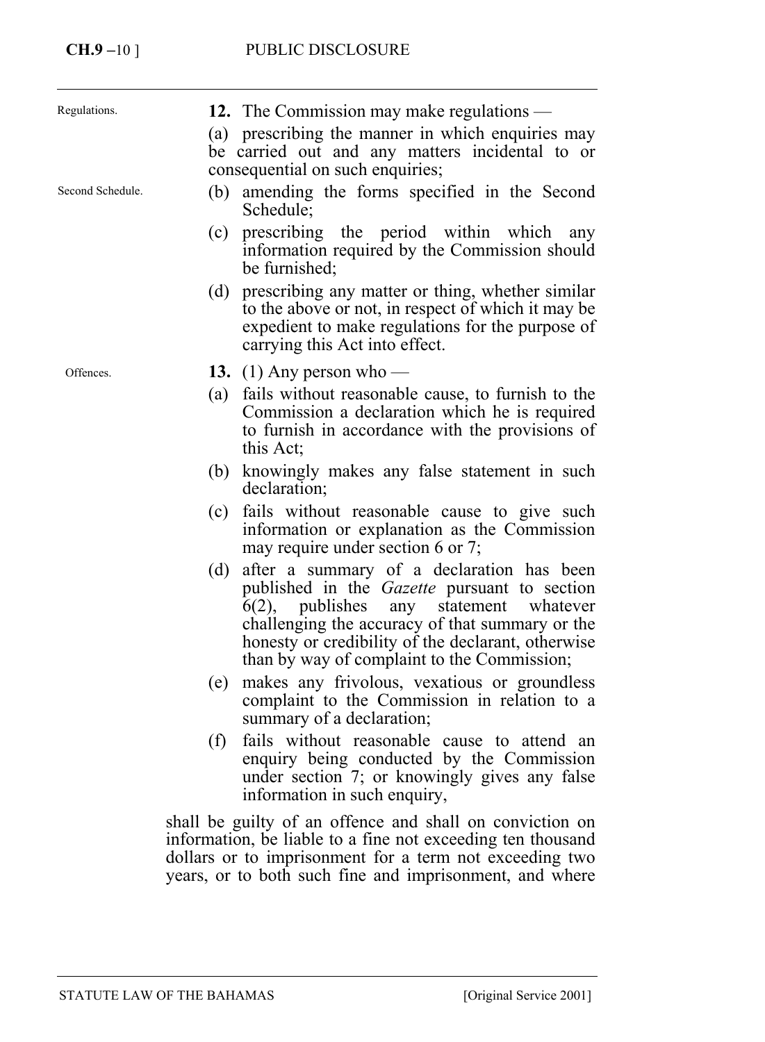| Regulations.     | 12. The Commission may make regulations —<br>(a) prescribing the manner in which enquiries may<br>be carried out and any matters incidental to or<br>consequential on such enquiries;                                                                                                                             |
|------------------|-------------------------------------------------------------------------------------------------------------------------------------------------------------------------------------------------------------------------------------------------------------------------------------------------------------------|
| Second Schedule. | (b) amending the forms specified in the Second<br>Schedule;                                                                                                                                                                                                                                                       |
|                  | prescribing the period within which<br>(c)<br>any<br>information required by the Commission should<br>be furnished;                                                                                                                                                                                               |
|                  | prescribing any matter or thing, whether similar<br>(d)<br>to the above or not, in respect of which it may be<br>expedient to make regulations for the purpose of<br>carrying this Act into effect.                                                                                                               |
| Offences.        | 13. (1) Any person who —                                                                                                                                                                                                                                                                                          |
|                  | fails without reasonable cause, to furnish to the<br>(a)<br>Commission a declaration which he is required<br>to furnish in accordance with the provisions of<br>this Act:                                                                                                                                         |
|                  | knowingly makes any false statement in such<br>(b)<br>declaration;                                                                                                                                                                                                                                                |
|                  | fails without reasonable cause to give such<br>(c)<br>information or explanation as the Commission<br>may require under section 6 or 7;                                                                                                                                                                           |
|                  | after a summary of a declaration has been<br>(d)<br>published in the Gazette pursuant to section<br>$6(2)$ ,<br>publishes<br>statement<br>whatever<br>any<br>challenging the accuracy of that summary or the<br>honesty or credibility of the declarant, otherwise<br>than by way of complaint to the Commission; |
|                  | makes any frivolous, vexatious or groundless<br>(e)<br>complaint to the Commission in relation to a<br>summary of a declaration;                                                                                                                                                                                  |
|                  | (f)<br>fails without reasonable cause to attend an<br>enquiry being conducted by the Commission<br>under section 7; or knowingly gives any false<br>information in such enquiry,                                                                                                                                  |

shall be guilty of an offence and shall on conviction on information, be liable to a fine not exceeding ten thousand dollars or to imprisonment for a term not exceeding two years, or to both such fine and imprisonment, and where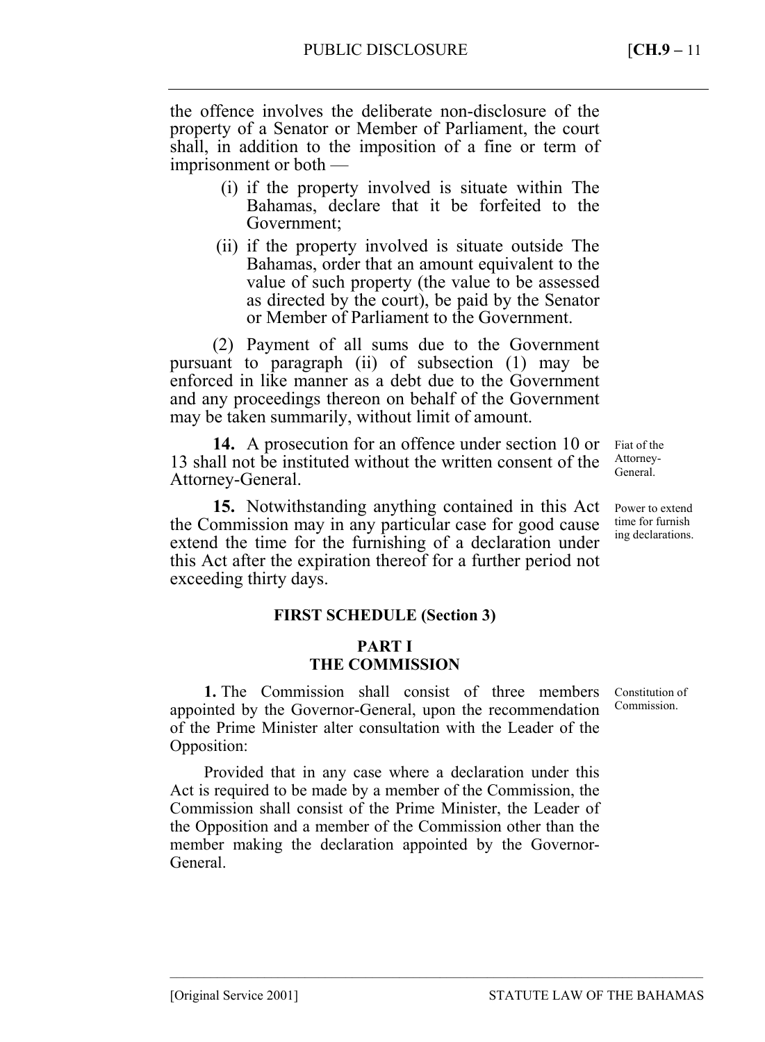the offence involves the deliberate non-disclosure of the property of a Senator or Member of Parliament, the court shall, in addition to the imposition of a fine or term of imprisonment or both —

- (i) if the property involved is situate within The Bahamas, declare that it be forfeited to the Government;
- (ii) if the property involved is situate outside The Bahamas, order that an amount equivalent to the value of such property (the value to be assessed as directed by the court), be paid by the Senator or Member of Parliament to the Government.

(2) Payment of all sums due to the Government pursuant to paragraph (ii) of subsection (1) may be enforced in like manner as a debt due to the Government and any proceedings thereon on behalf of the Government may be taken summarily, without limit of amount.

**14.** A prosecution for an offence under section 10 or 13 shall not be instituted without the written consent of the Attorney-General.

**15.** Notwithstanding anything contained in this Act the Commission may in any particular case for good cause extend the time for the furnishing of a declaration under this Act after the expiration thereof for a further period not exceeding thirty days.

#### **FIRST SCHEDULE (Section 3)**

#### **PART I THE COMMISSION**

**1.** The Commission shall consist of three members appointed by the Governor-General, upon the recommendation of the Prime Minister alter consultation with the Leader of the Opposition:

Provided that in any case where a declaration under this Act is required to be made by a member of the Commission, the Commission shall consist of the Prime Minister, the Leader of the Opposition and a member of the Commission other than the member making the declaration appointed by the Governor-**General** 

–––––––––––––––––––––––––––––––––––––––––––––––––––––––––––––––––––––––––––––––

Fiat of the Attorney-General.

Power to extend time for furnish ing declarations.

Constitution of Commission.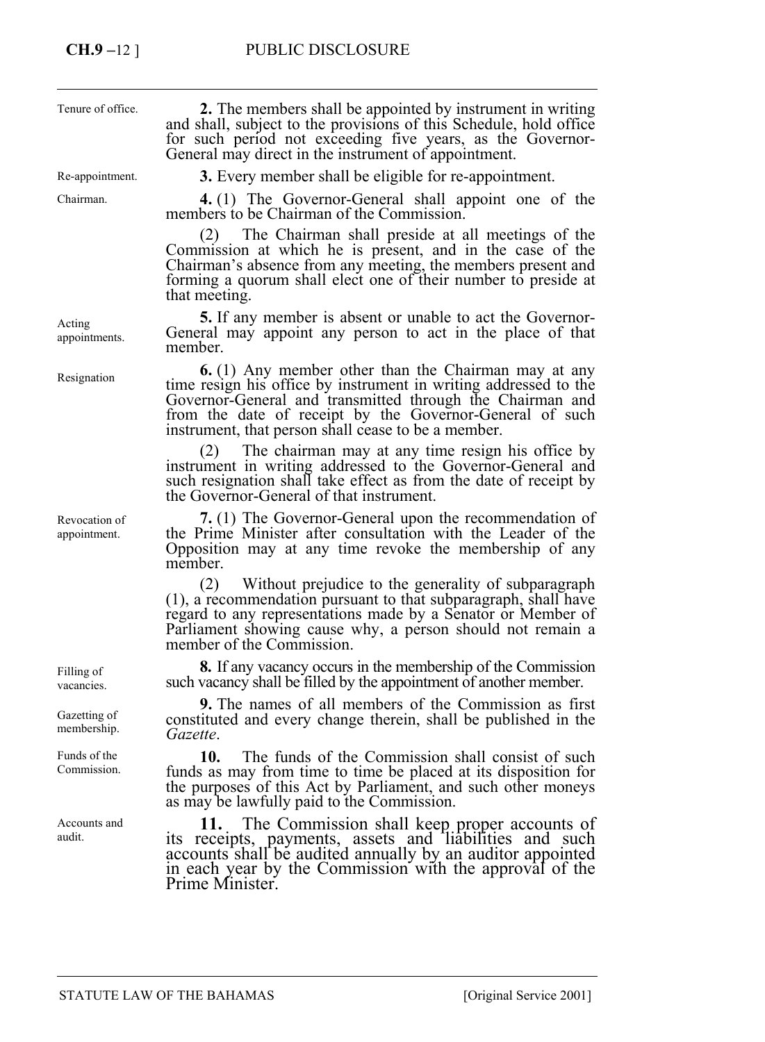| Tenure of office.             | <b>2.</b> The members shall be appointed by instrument in writing<br>and shall, subject to the provisions of this Schedule, hold office<br>for such period not exceeding five years, as the Governor-<br>General may direct in the instrument of appointment.                                                   |
|-------------------------------|-----------------------------------------------------------------------------------------------------------------------------------------------------------------------------------------------------------------------------------------------------------------------------------------------------------------|
| Re-appointment.               | <b>3.</b> Every member shall be eligible for re-appointment.                                                                                                                                                                                                                                                    |
| Chairman.                     | 4. (1) The Governor-General shall appoint one of the<br>members to be Chairman of the Commission.                                                                                                                                                                                                               |
|                               | The Chairman shall preside at all meetings of the<br>(2)<br>Commission at which he is present, and in the case of the<br>Chairman's absence from any meeting, the members present and<br>forming a quorum shall elect one of their number to preside at<br>that meeting.                                        |
| Acting<br>appointments.       | <b>5.</b> If any member is absent or unable to act the Governor-<br>General may appoint any person to act in the place of that<br>member.                                                                                                                                                                       |
| Resignation                   | <b>6.</b> (1) Any member other than the Chairman may at any<br>time resign his office by instrument in writing addressed to the<br>Governor-General and transmitted through the Chairman and<br>from the date of receipt by the Governor-General of such<br>instrument, that person shall cease to be a member. |
|                               | The chairman may at any time resign his office by<br>(2)<br>instrument in writing addressed to the Governor-General and<br>such resignation shall take effect as from the date of receipt by<br>the Governor-General of that instrument.                                                                        |
| Revocation of<br>appointment. | 7. (1) The Governor-General upon the recommendation of<br>the Prime Minister after consultation with the Leader of the<br>Opposition may at any time revoke the membership of any<br>member.                                                                                                                    |
|                               | Without prejudice to the generality of subparagraph<br>(2)<br>(1), a recommendation pursuant to that subparagraph, shall have<br>regard to any representations made by a Senator or Member of<br>Parliament showing cause why, a person should not remain a<br>member of the Commission.                        |
| Filling of<br>vacancies.      | <b>8.</b> If any vacancy occurs in the membership of the Commission<br>such vacancy shall be filled by the appointment of another member.                                                                                                                                                                       |
| Gazetting of<br>membership.   | <b>9.</b> The names of all members of the Commission as first<br>constituted and every change therein, shall be published in the<br>Gazette.                                                                                                                                                                    |
| Funds of the<br>Commission.   | 10.<br>The funds of the Commission shall consist of such<br>funds as may from time to time be placed at its disposition for                                                                                                                                                                                     |

Accounts and audit.

as may be lawfully paid to the Commission. **11.** The Commission shall keep proper accounts of its receipts, payments, assets and liabilities and such accounts shall be audited annually by an auditor appointed in each year by the Commission with the approval of the Prime Minister.

the purposes of this Act by Parliament, and such other moneys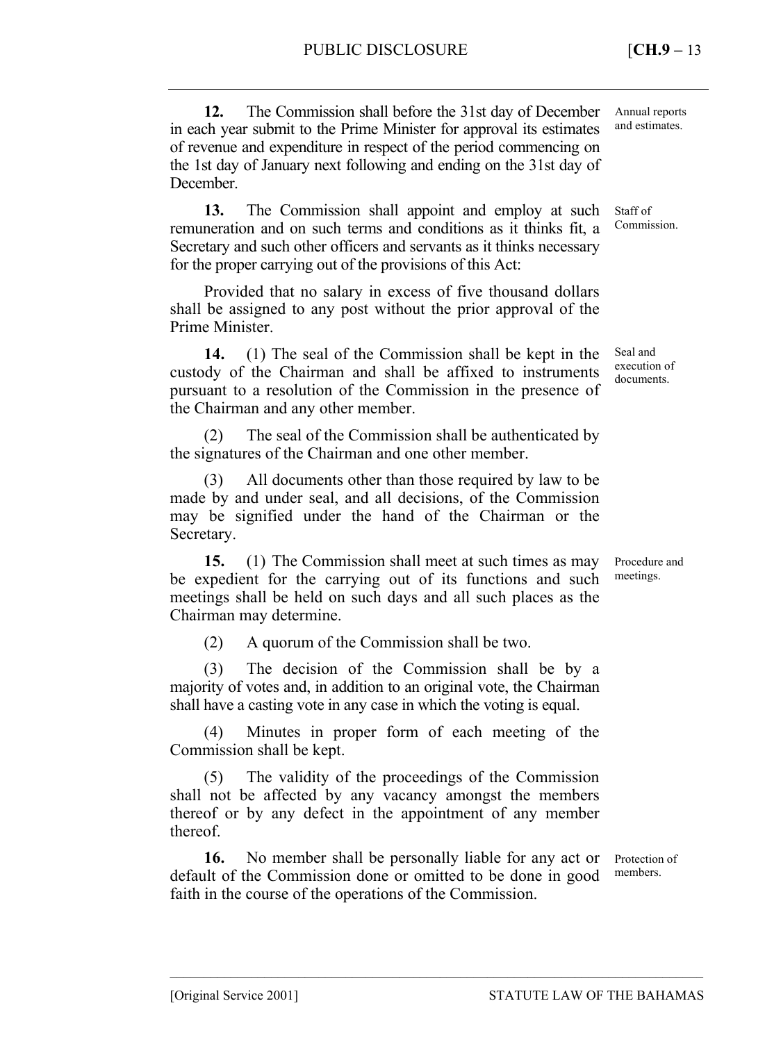**12.** The Commission shall before the 31st day of December in each year submit to the Prime Minister for approval its estimates of revenue and expenditure in respect of the period commencing on the 1st day of January next following and ending on the 31st day of December.

**13.** The Commission shall appoint and employ at such remuneration and on such terms and conditions as it thinks fit, a Secretary and such other officers and servants as it thinks necessary for the proper carrying out of the provisions of this Act:

Provided that no salary in excess of five thousand dollars shall be assigned to any post without the prior approval of the Prime Minister.

**14.** (1) The seal of the Commission shall be kept in the custody of the Chairman and shall be affixed to instruments pursuant to a resolution of the Commission in the presence of the Chairman and any other member.

(2) The seal of the Commission shall be authenticated by the signatures of the Chairman and one other member.

(3) All documents other than those required by law to be made by and under seal, and all decisions, of the Commission may be signified under the hand of the Chairman or the Secretary.

**15.** (1) The Commission shall meet at such times as may be expedient for the carrying out of its functions and such meetings shall be held on such days and all such places as the Chairman may determine.

(2) A quorum of the Commission shall be two.

(3) The decision of the Commission shall be by a majority of votes and, in addition to an original vote, the Chairman shall have a casting vote in any case in which the voting is equal.

(4) Minutes in proper form of each meeting of the Commission shall be kept.

(5) The validity of the proceedings of the Commission shall not be affected by any vacancy amongst the members thereof or by any defect in the appointment of any member thereof.

**16.** No member shall be personally liable for any act or default of the Commission done or omitted to be done in good faith in the course of the operations of the Commission. members.

–––––––––––––––––––––––––––––––––––––––––––––––––––––––––––––––––––––––––––––––

Protection of

Annual reports and estimates.

Staff of Commission.

Seal and execution of documents.

Procedure and meetings.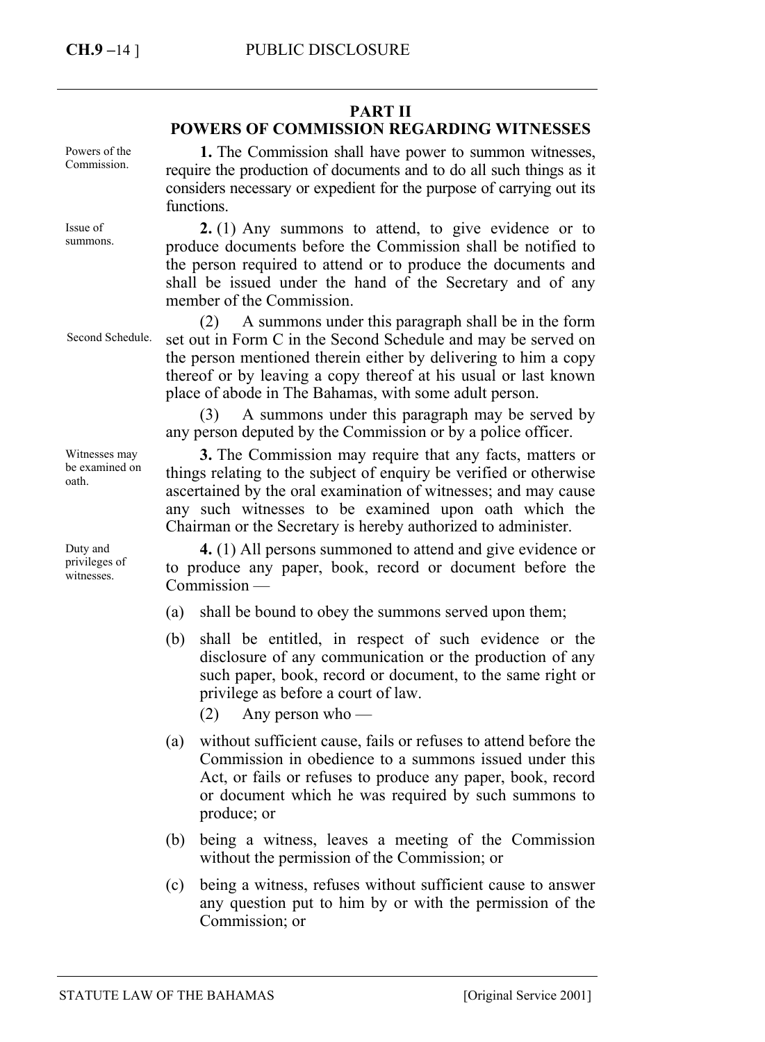## **PART II**

## **POWERS OF COMMISSION REGARDING WITNESSES**

Powers of the Commission.

Issue of summons.

Second Schedule.

Witnesses may be examined on oath.

Duty and privileges of witnesses.

**1.** The Commission shall have power to summon witnesses, require the production of documents and to do all such things as it considers necessary or expedient for the purpose of carrying out its functions.

**2.** (1) Any summons to attend, to give evidence or to produce documents before the Commission shall be notified to the person required to attend or to produce the documents and shall be issued under the hand of the Secretary and of any member of the Commission.

(2) A summons under this paragraph shall be in the form set out in Form C in the Second Schedule and may be served on the person mentioned therein either by delivering to him a copy thereof or by leaving a copy thereof at his usual or last known place of abode in The Bahamas, with some adult person.

(3) A summons under this paragraph may be served by any person deputed by the Commission or by a police officer.

**3.** The Commission may require that any facts, matters or things relating to the subject of enquiry be verified or otherwise ascertained by the oral examination of witnesses; and may cause any such witnesses to be examined upon oath which the Chairman or the Secretary is hereby authorized to administer.

**4.** (1) All persons summoned to attend and give evidence or to produce any paper, book, record or document before the Commission —

- (a) shall be bound to obey the summons served upon them;
- (b) shall be entitled, in respect of such evidence or the disclosure of any communication or the production of any such paper, book, record or document, to the same right or privilege as before a court of law.
	- $(2)$  Any person who —
- (a) without sufficient cause, fails or refuses to attend before the Commission in obedience to a summons issued under this Act, or fails or refuses to produce any paper, book, record or document which he was required by such summons to produce; or
- (b) being a witness, leaves a meeting of the Commission without the permission of the Commission; or
- (c) being a witness, refuses without sufficient cause to answer any question put to him by or with the permission of the Commission; or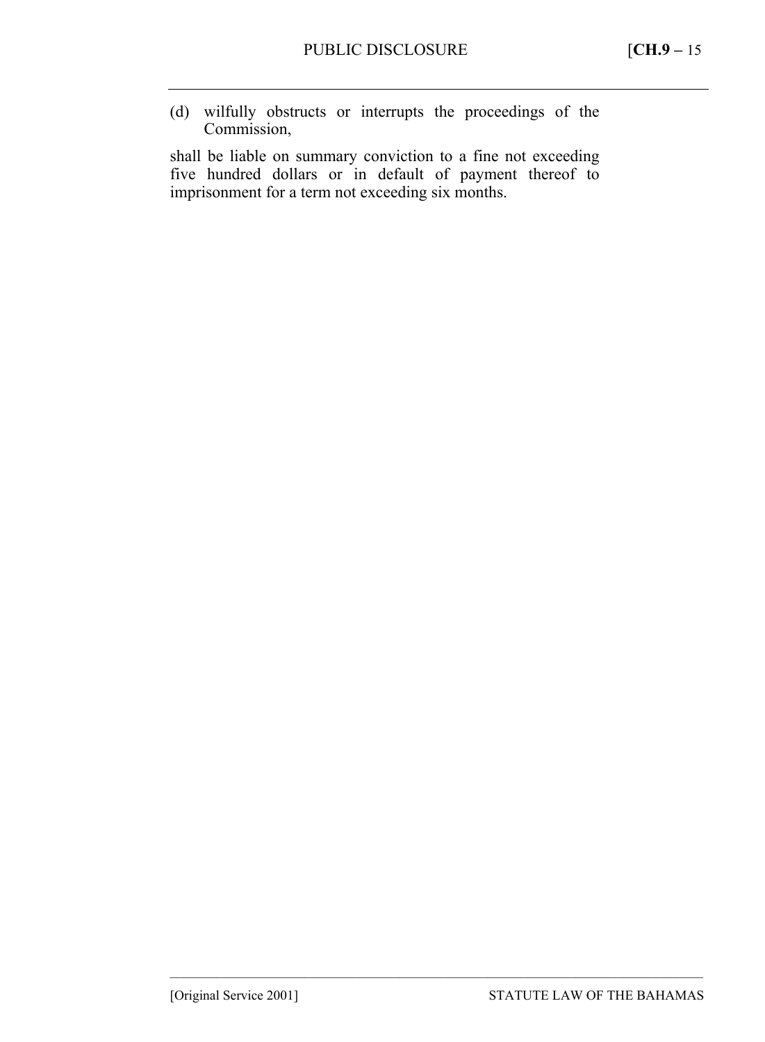(d) wilfully obstructs or interrupts the proceedings of the Commission,

shall be liable on summary conviction to a fine not exceeding five hundred dollars or in default of payment thereof to imprisonment for a term not exceeding six months.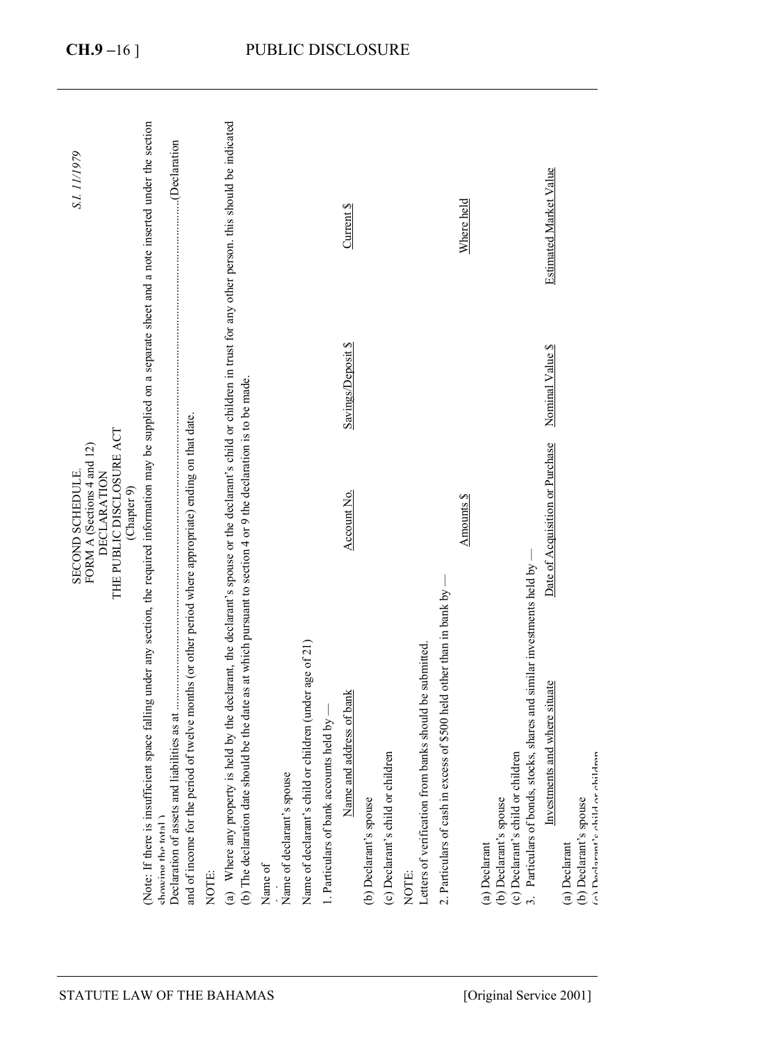| (Note: If there is insufficient space falling under any section, the required information may be supplied on a separate sheet and a note inserted under the section<br>S.I. 11/1979<br>THE PUBLIC DISCLOSURE ACT<br>FORM A (Sections 4 and 12)<br>SECOND SCHEDULE.<br><b>DECLARATION</b><br>(Chapter 9) | Declaration                                                                                                                                        | (a) Where any property is held by the declarant, the declarant's spouse or the declarant's child or children in trust for any other person. this should be indicated |                                       |                                                         |                                         | Current \$<br>Savings/Deposit \$<br>Account No. |                        |                                   |                                                                  |                                                                      | Where held<br>Amounts \$ |                                                                                                                                                                                      | Estimated Market Value<br>Nominal Value \$<br>Date of Acquisition or Purchase |                                                                              |
|---------------------------------------------------------------------------------------------------------------------------------------------------------------------------------------------------------------------------------------------------------------------------------------------------------|----------------------------------------------------------------------------------------------------------------------------------------------------|----------------------------------------------------------------------------------------------------------------------------------------------------------------------|---------------------------------------|---------------------------------------------------------|-----------------------------------------|-------------------------------------------------|------------------------|-----------------------------------|------------------------------------------------------------------|----------------------------------------------------------------------|--------------------------|--------------------------------------------------------------------------------------------------------------------------------------------------------------------------------------|-------------------------------------------------------------------------------|------------------------------------------------------------------------------|
| showing the total<br>STATUTE LAW OF THE BAHAMAS                                                                                                                                                                                                                                                         | and of income for the period of twelve months (or other period where appropriate) ending on that date.<br>Declaration of assets and liabi<br>NOTE: | (b) The declaration date should be the date as at which pursuant to section 4 or 9 the declaration is to be made.                                                    | Name of declarant's spouse<br>Name of | Name of declarant's child or children (under age of 21) | 1. Particulars of bank accounts held by | address of bank<br>Name and                     | (b) Declarant's spouse | (c) Declarant's child or children | Letters of verification from banks should be submitted.<br>NOTE: | 2. Particulars of cash in excess of \$500 held other than in bank by |                          | 3. Particulars of bonds, stocks, shares and similar investments held by -<br>(c) Declarant's child or children<br>(b) Declarant's spouse<br>(a) Declarant<br>[Original Service 2001] | Investments and where situate                                                 | (a) Daolarant's obild or obildran<br>(b) Declarant's spouse<br>(a) Declarant |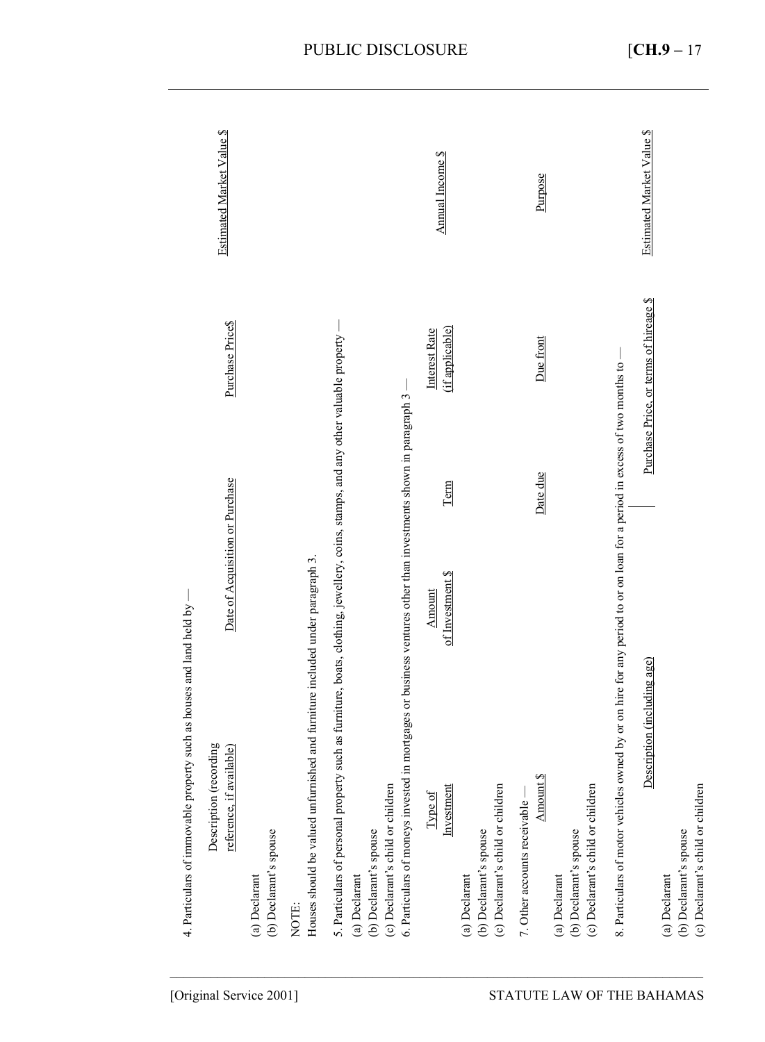|                            | such as houses and land held by -<br>4. Particulars of immovable property                                                                                                    |                                                                            |          |                                        |                           |
|----------------------------|------------------------------------------------------------------------------------------------------------------------------------------------------------------------------|----------------------------------------------------------------------------|----------|----------------------------------------|---------------------------|
| [Original Service 2001]    | Description (recording<br>reference, if available)                                                                                                                           | Date of Acquisition or Purchase                                            |          | Purchase Price\$                       | Estimated Market Value \$ |
|                            | (b) Declarant's spouse<br>(a) Declarant                                                                                                                                      |                                                                            |          |                                        |                           |
|                            | Houses should be valued unfurnished and furniture included under paragraph 3.<br>NOTE:                                                                                       |                                                                            |          |                                        |                           |
|                            | 5. Particulars of personal property such as furniture, boats, clothing, jewellery, coins, stamps, and any other valuable property<br>(b) Declarant's spouse<br>(a) Declarant |                                                                            |          |                                        |                           |
|                            | 6. Particulars of moneys invested in<br>(c) Declarant's child or children                                                                                                    | mortgages or business ventures other than investments shown in paragraph 3 |          |                                        |                           |
|                            | Investment<br>Type of                                                                                                                                                        | of Investment \$<br>Amount                                                 | Term     | (if applicable)<br>Interest Rate       | Annual Income \$          |
|                            | (c) Declarant's child or children<br>(b) Declarant's spouse<br>(a) Declarant                                                                                                 |                                                                            |          |                                        |                           |
|                            | Amount \$<br>7. Other accounts receivable -                                                                                                                                  |                                                                            | Date due | Due front                              | Purpose                   |
| STATUTE LAW OF THE BAHAMAS | (c) Declarant's child or children<br>(b) Declarant's spouse<br>(a) Declarant                                                                                                 |                                                                            |          |                                        |                           |
|                            | 8. Particulars of motor vehicles owned by or on hire for any period to or on loan for a period in excess of two months to                                                    |                                                                            |          |                                        |                           |
|                            | Description (including age)                                                                                                                                                  |                                                                            |          | Purchase Price, or terms of hireage \$ | Estimated Market Value \$ |
|                            | (a) Declarant                                                                                                                                                                |                                                                            |          |                                        |                           |
|                            | (c) Declarant's child or children<br>(b) Declarant's spouse                                                                                                                  |                                                                            |          |                                        |                           |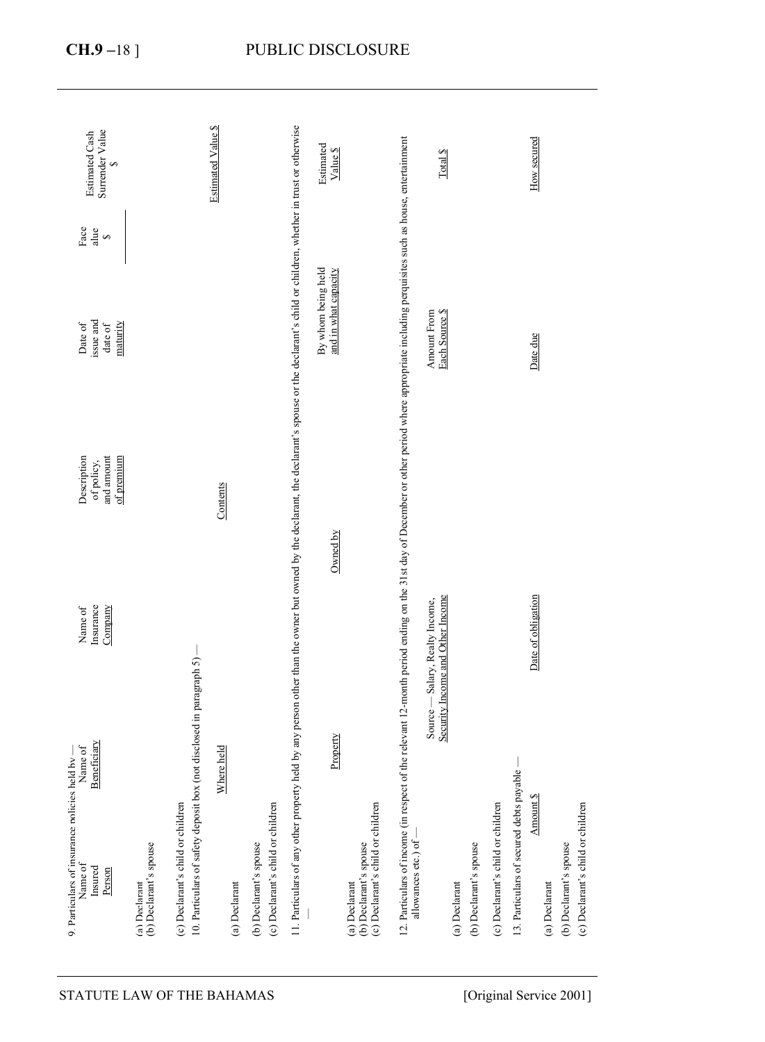| Surrender Value<br>Estimated Cash<br>S                                                                   |                                         |                                                                                                           | <b>Estimated Value \$</b>        |                                                             |                                                                                                                                                                                                       | Estimated<br>Value \$                      |                                                                              |                                                                                                                                                      | Total \$                                                            |                                         |                                   |                                          | How secured                |                        |                                   |
|----------------------------------------------------------------------------------------------------------|-----------------------------------------|-----------------------------------------------------------------------------------------------------------|----------------------------------|-------------------------------------------------------------|-------------------------------------------------------------------------------------------------------------------------------------------------------------------------------------------------------|--------------------------------------------|------------------------------------------------------------------------------|------------------------------------------------------------------------------------------------------------------------------------------------------|---------------------------------------------------------------------|-----------------------------------------|-----------------------------------|------------------------------------------|----------------------------|------------------------|-----------------------------------|
| $_{\rm Face}$<br>alue<br>S<br>issue and<br>Date of<br>maturity<br>date of                                |                                         |                                                                                                           |                                  |                                                             |                                                                                                                                                                                                       | By whom being held<br>and in what capacity |                                                                              | the relevant 12-month period ending on the 31st day of December or other period where appropriate including perquisites such as house, entertainment | <b>Amount From</b><br>Each Source \$                                |                                         |                                   |                                          | Date due                   |                        |                                   |
| Description<br>and amount<br>of premium<br>of policy,                                                    |                                         |                                                                                                           | Contents                         |                                                             |                                                                                                                                                                                                       | Owned by                                   |                                                                              |                                                                                                                                                      |                                                                     |                                         |                                   |                                          |                            |                        |                                   |
| Insurance<br>Company<br>Name of                                                                          |                                         |                                                                                                           |                                  |                                                             |                                                                                                                                                                                                       |                                            |                                                                              |                                                                                                                                                      | Security Income and Other Income<br>Source - Salary, Realty Income, |                                         |                                   |                                          | Date of obligation         |                        |                                   |
| Beneficiary<br>Name of<br>9. Particulars of insurance policies held by -<br>Name of<br>Insured<br>Person | (b) Declarant's spouse<br>(a) Declarant | 10. Particulars of safety deposit box (not disclosed in paragraph 5)<br>(c) Declarant's child or children | e held<br>Where<br>(a) Declarant | (c) Declarant's child or children<br>(b) Declarant's spouse | 11. Particulars of any other property held by any person other than the owner but owned by the declarant, the declarant's spouse or the declarant's schild or children, whether in trust or otherwise | Property                                   | (c) Declarant's child or children<br>(b) Declarant's spouse<br>(a) Declarant | 12. Particulars of income (in respect of<br>allowances etc.) of                                                                                      |                                                                     | (b) Declarant's spouse<br>(a) Declarant | (c) Declarant's child or children | 13. Particulars of secured debts payable | Amount \$<br>(a) Declarant | (b) Declarant's spouse | (c) Declarant's child or children |
| STATUTE LAW OF THE BAHAMAS                                                                               |                                         |                                                                                                           |                                  |                                                             |                                                                                                                                                                                                       |                                            |                                                                              |                                                                                                                                                      |                                                                     |                                         |                                   |                                          | [Original Service 2001]    |                        |                                   |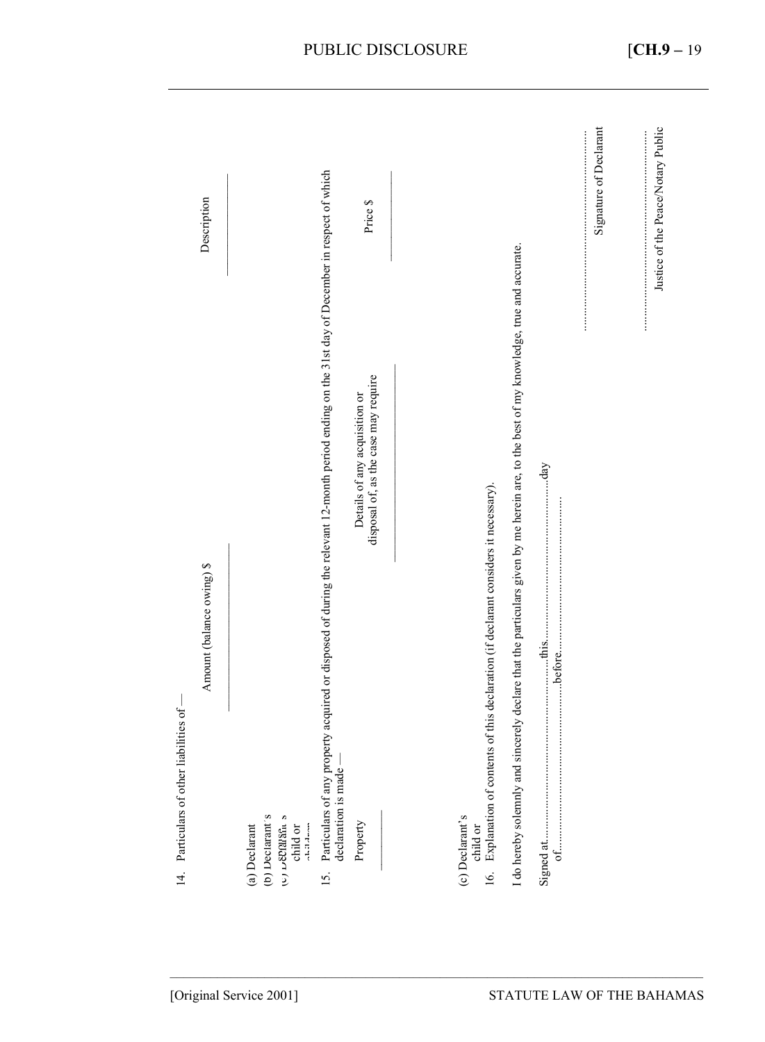|                                           |                                                                                                                                                |                                                                       |                                                                                                                                                                                                                               |                        | Signature of Declarant             |
|-------------------------------------------|------------------------------------------------------------------------------------------------------------------------------------------------|-----------------------------------------------------------------------|-------------------------------------------------------------------------------------------------------------------------------------------------------------------------------------------------------------------------------|------------------------|------------------------------------|
| Description                               |                                                                                                                                                | Price \$                                                              |                                                                                                                                                                                                                               |                        | Justice of the Peace/Notary Public |
| Amount (balance owing) \$                 | Particulars of any property acquired or disposed of during the relevant 12-month period ending on the 31st day of December in respect of which | disposal of, as the case may require<br>Details of any acquisition or | I do hereby solemnly and sincerely declare that the particulars given by me herein are, to the best of my knowledge, true and accurate.<br>Explanation of contents of this declaration (if declarant considers it necessary). | $\mathbf{d}\mathbf{a}$ | $\frac{1}{2}$                      |
| 14. Particulars of other liabilities of - | declaration is made-<br>(b) Declarant's<br>c) Denalagn s<br>(a) Declarant<br>15.                                                               | Property                                                              | (c) Declarant's<br>child or<br>16 <sub>1</sub>                                                                                                                                                                                |                        |                                    |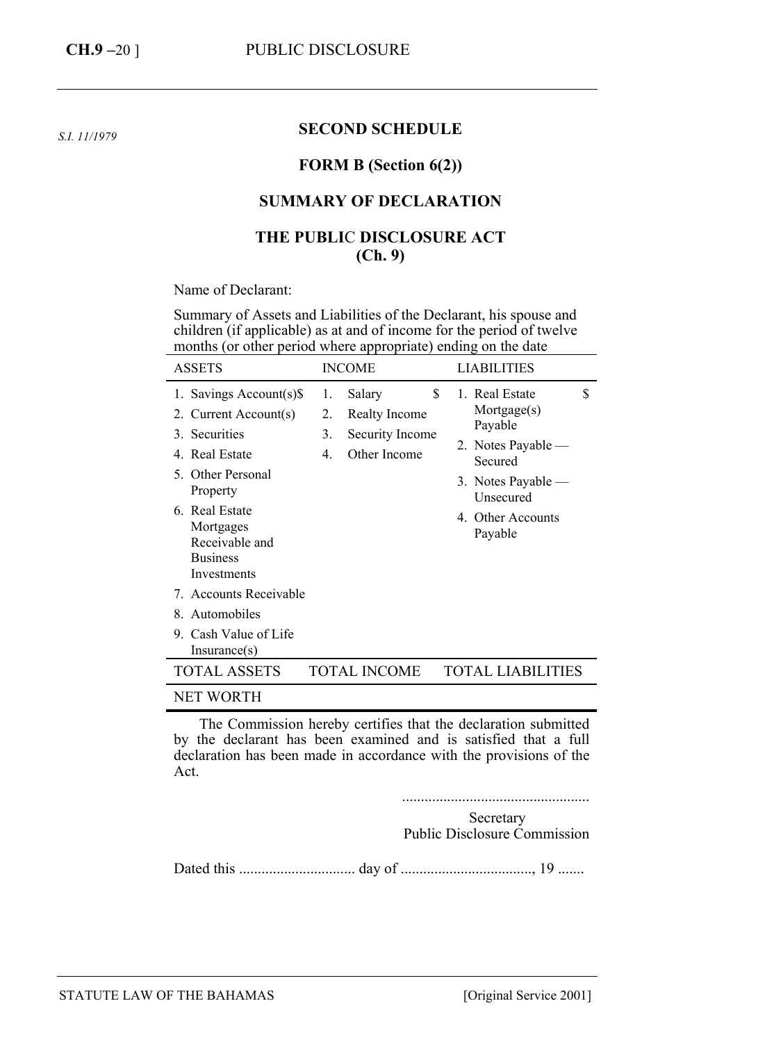*S.I. 11/1979* 

#### **SECOND SCHEDULE**

#### **FORM B (Section 6(2))**

#### **SUMMARY OF DECLARATION**

### **THE PUBLI**C **DISCLOSURE ACT (Ch. 9)**

Name of Declarant:

Summary of Assets and Liabilities of the Declarant, his spouse and children (if applicable) as at and of income for the period of twelve months (or other period where appropriate) ending on the date

| <b>ASSETS</b>                                                                                                                                                                                                                     |                                  | <b>INCOME</b>                                              | <b>LIABILITIES</b>                                                                                                                                         |
|-----------------------------------------------------------------------------------------------------------------------------------------------------------------------------------------------------------------------------------|----------------------------------|------------------------------------------------------------|------------------------------------------------------------------------------------------------------------------------------------------------------------|
| 1. Savings Account(s)\$<br>2. Current Account(s)<br>3. Securities<br>4. Real Estate<br>5. Other Personal<br>Property<br>6. Real Estate<br>Mortgages<br>Receivable and<br><b>Business</b><br>Investments<br>7. Accounts Receivable | 1.<br>2.<br>3.<br>$\mathbf{4}$ . | Salary<br>Realty Income<br>Security Income<br>Other Income | \$<br>\$<br>1. Real Estate<br>Mortgage(s)<br>Payable<br>2. Notes Payable —<br>Secured<br>3. Notes Payable $-$<br>Unsecured<br>4. Other Accounts<br>Payable |
| 8. Automobiles                                                                                                                                                                                                                    |                                  |                                                            |                                                                                                                                                            |
| 9. Cash Value of Life<br>Insurance(s)                                                                                                                                                                                             |                                  |                                                            |                                                                                                                                                            |
| <b>TOTAL ASSETS</b>                                                                                                                                                                                                               |                                  | TOTAL INCOME                                               | <b>TOTAL LIABILITIES</b>                                                                                                                                   |
| NET WORTH                                                                                                                                                                                                                         |                                  |                                                            |                                                                                                                                                            |

The Commission hereby certifies that the declaration submitted by the declarant has been examined and is satisfied that a full declaration has been made in accordance with the provisions of the Act.

..................................................

Secretary Public Disclosure Commission

Dated this ............................... day of ..................................., 19 .......